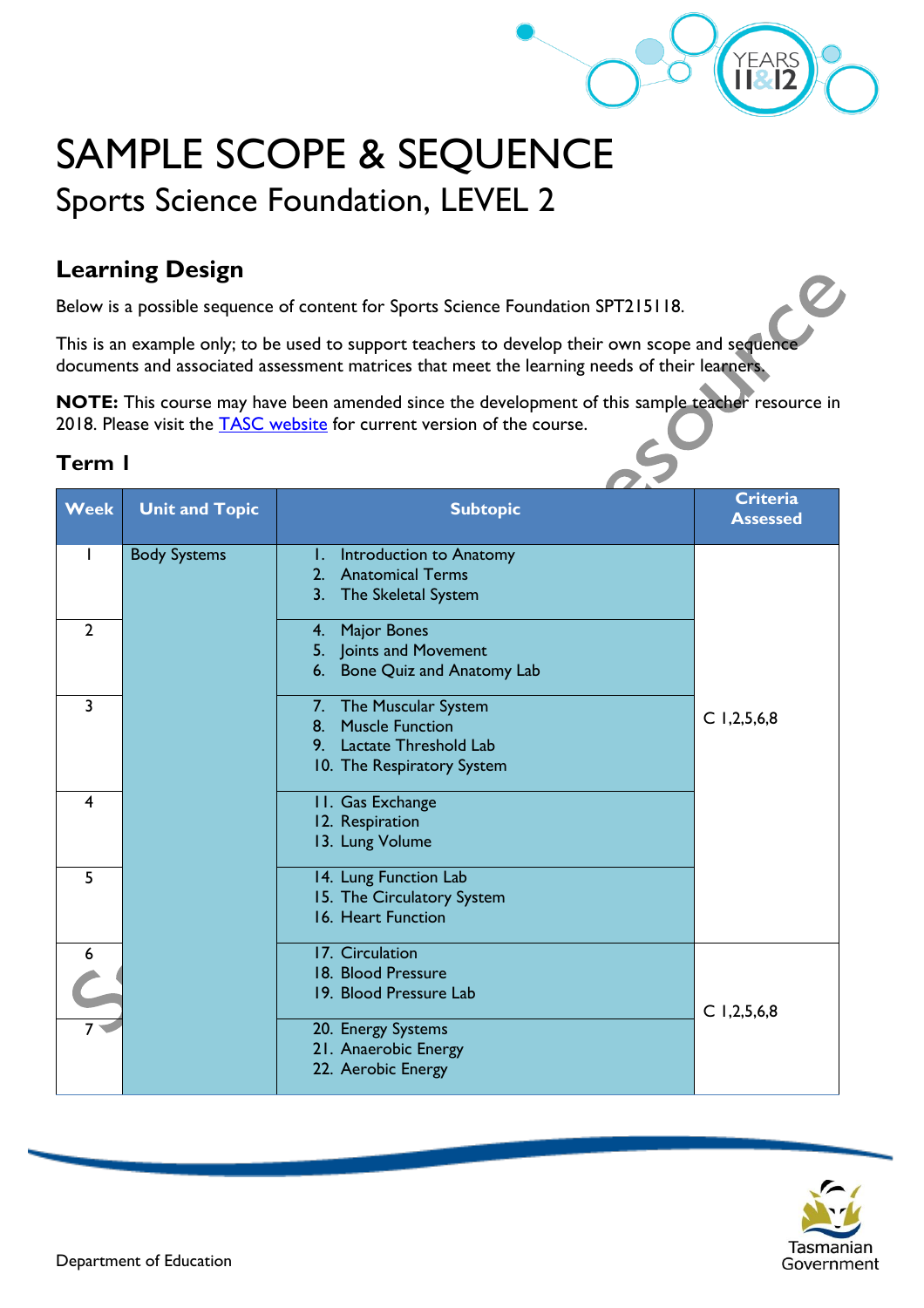

# SAMPLE SCOPE & SEQUENCE Sports Science Foundation, LEVEL 2

## **Learning Design**

Below is a possible sequence of content for Sports Science Foundation SPT215118.

This is an example only; to be used to support teachers to develop their own scope and sequence documents and associated assessment matrices that meet the learning needs of their learners.

**NOTE:** This course may have been amended since the development of this sample teacher resource in 2018. Please visit the **TASC** website for current version of the course.

| <b>Week</b>    | <b>Unit and Topic</b> | <b>Subtopic</b>               | <b>Criteria</b><br><b>Assessed</b> |
|----------------|-----------------------|-------------------------------|------------------------------------|
|                | <b>Body Systems</b>   | Introduction to Anatomy<br>I. |                                    |
|                |                       | <b>Anatomical Terms</b><br>2. |                                    |
|                |                       | 3.<br>The Skeletal System     |                                    |
| $\overline{2}$ |                       | 4. Major Bones                |                                    |
|                |                       | 5. Joints and Movement        |                                    |
|                |                       | 6. Bone Quiz and Anatomy Lab  |                                    |
| 3              |                       | 7. The Muscular System        |                                    |
|                |                       | 8.<br><b>Muscle Function</b>  | $C$ 1, 2, 5, 6, 8                  |
|                |                       | 9. Lactate Threshold Lab      |                                    |
|                |                       | 10. The Respiratory System    |                                    |
| 4              |                       | 11. Gas Exchange              |                                    |
|                |                       | 12. Respiration               |                                    |
|                |                       | 13. Lung Volume               |                                    |
| 5              |                       | 14. Lung Function Lab         |                                    |
|                |                       | 15. The Circulatory System    |                                    |
|                |                       | 16. Heart Function            |                                    |
| 6              |                       | 17. Circulation               |                                    |
|                |                       | 18. Blood Pressure            |                                    |
| $\frac{1}{7}$  |                       | 19. Blood Pressure Lab        | $C$ 1, 2, 5, 6, 8                  |
|                |                       | 20. Energy Systems            |                                    |
|                |                       | 21. Anaerobic Energy          |                                    |
|                |                       | 22. Aerobic Energy            |                                    |

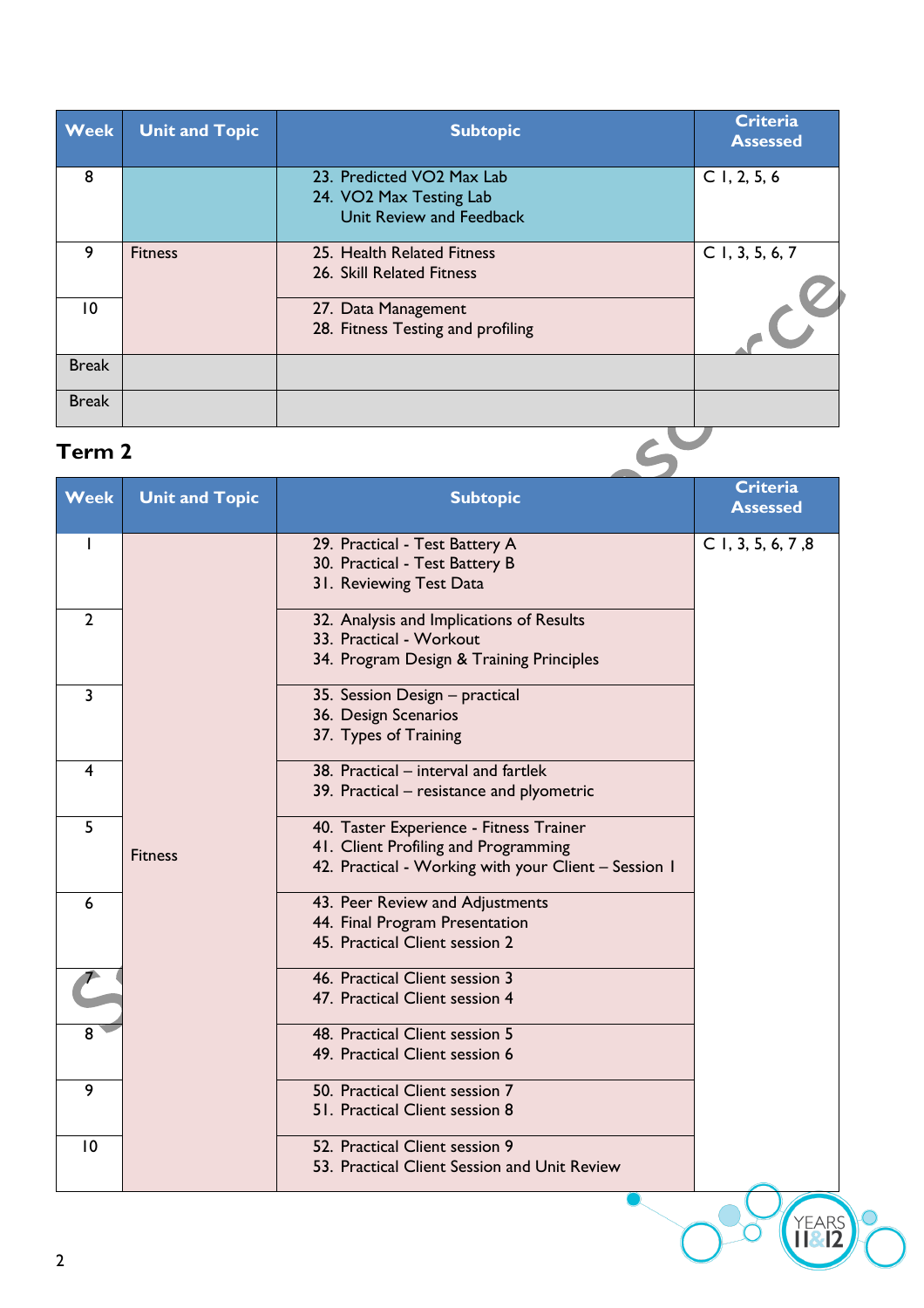| <b>Week</b>       | <b>Unit and Topic</b> | <b>Subtopic</b>                                                                  | <b>Criteria</b><br><b>Assessed</b> |
|-------------------|-----------------------|----------------------------------------------------------------------------------|------------------------------------|
| 8                 |                       | 23. Predicted VO2 Max Lab<br>24. VO2 Max Testing Lab<br>Unit Review and Feedback | $C$ 1, 2, 5, 6                     |
| 9                 | <b>Fitness</b>        | 25. Health Related Fitness<br>26. Skill Related Fitness                          | $C$ 1, 3, 5, 6, 7                  |
| $\overline{10}$   |                       | 27. Data Management<br>28. Fitness Testing and profiling                         |                                    |
| <b>Break</b>      |                       |                                                                                  |                                    |
| <b>Break</b>      |                       |                                                                                  |                                    |
| Term <sub>2</sub> |                       |                                                                                  |                                    |

| <b>Week</b>     | <b>Unit and Topic</b> | <b>Subtopic</b>                                      | <b>Criteria</b><br><b>Assessed</b> |
|-----------------|-----------------------|------------------------------------------------------|------------------------------------|
| I.              |                       | 29. Practical - Test Battery A                       | $C$ 1, 3, 5, 6, 7,8                |
|                 |                       | 30. Practical - Test Battery B                       |                                    |
|                 |                       | 31. Reviewing Test Data                              |                                    |
| $\overline{2}$  |                       | 32. Analysis and Implications of Results             |                                    |
|                 |                       | 33. Practical - Workout                              |                                    |
|                 |                       | 34. Program Design & Training Principles             |                                    |
| $\overline{3}$  |                       | 35. Session Design - practical                       |                                    |
|                 |                       | 36. Design Scenarios                                 |                                    |
|                 |                       | 37. Types of Training                                |                                    |
| 4               |                       | 38. Practical - interval and fartlek                 |                                    |
|                 |                       | 39. Practical – resistance and plyometric            |                                    |
| 5               |                       | 40. Taster Experience - Fitness Trainer              |                                    |
|                 | <b>Fitness</b>        | 41. Client Profiling and Programming                 |                                    |
|                 |                       | 42. Practical - Working with your Client - Session 1 |                                    |
| $6\phantom{1}6$ |                       | 43. Peer Review and Adjustments                      |                                    |
|                 |                       | 44. Final Program Presentation                       |                                    |
|                 |                       | 45. Practical Client session 2                       |                                    |
|                 |                       | 46. Practical Client session 3                       |                                    |
|                 |                       | 47. Practical Client session 4                       |                                    |
| 8               |                       | 48. Practical Client session 5                       |                                    |
|                 |                       | 49. Practical Client session 6                       |                                    |
| 9               |                       | 50. Practical Client session 7                       |                                    |
|                 |                       | 51. Practical Client session 8                       |                                    |
| $\overline{10}$ |                       | 52. Practical Client session 9                       |                                    |
|                 |                       | 53. Practical Client Session and Unit Review         |                                    |
| 2               |                       |                                                      |                                    |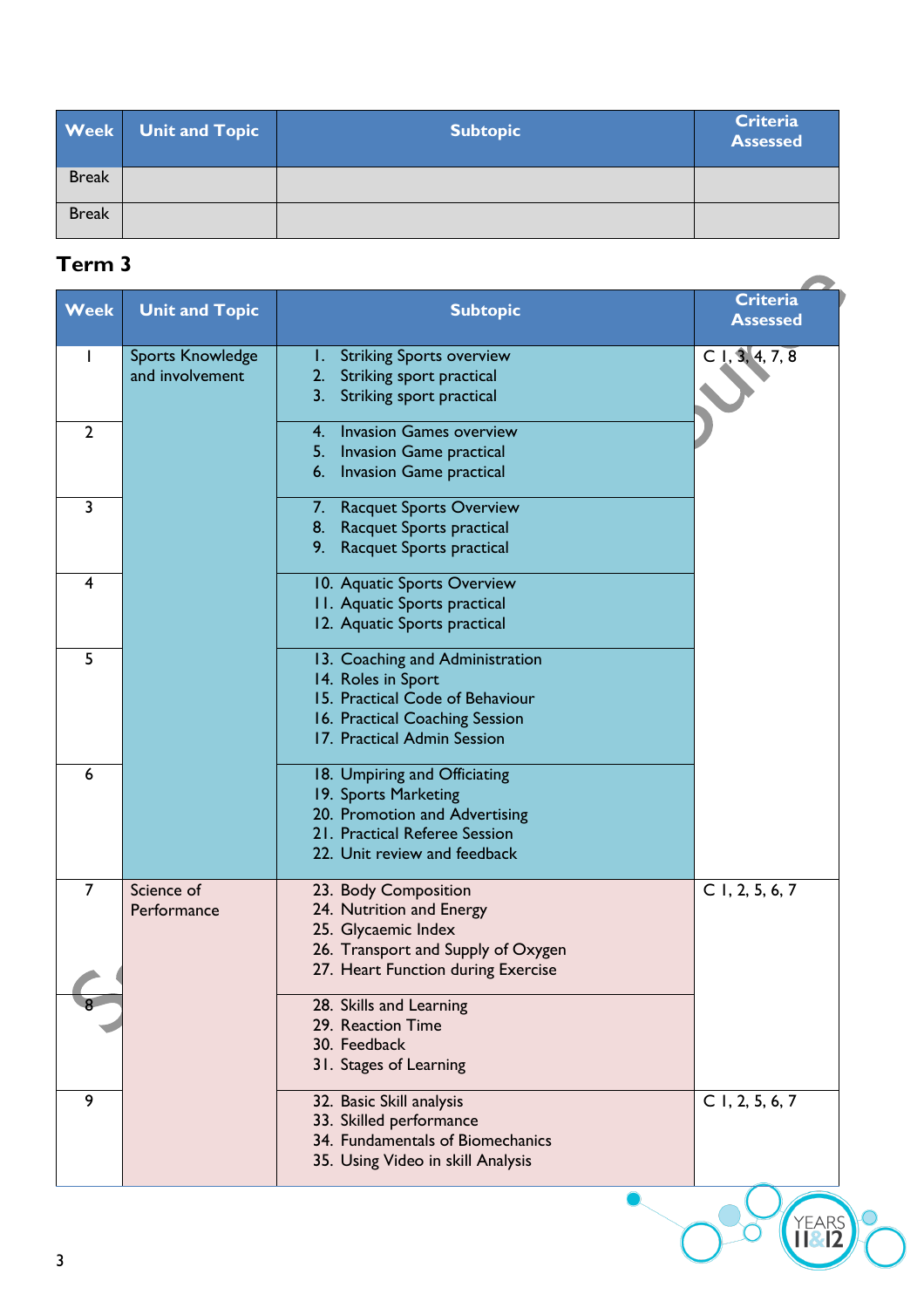|              | <b>Week</b> Unit and Topic | <b>Subtopic</b> | <b>Criteria</b><br><b>Assessed</b> |
|--------------|----------------------------|-----------------|------------------------------------|
| <b>Break</b> |                            |                 |                                    |
| <b>Break</b> |                            |                 |                                    |

| Week           | <b>Unit and Topic</b> | <b>Subtopic</b>                       | <b>Criteria</b><br><b>Assessed</b> |
|----------------|-----------------------|---------------------------------------|------------------------------------|
|                | Sports Knowledge      | <b>Striking Sports overview</b><br>ь. | $C$ 1, 3, 4, 7, 8                  |
|                | and involvement       | Striking sport practical<br>2.        |                                    |
|                |                       | 3. Striking sport practical           |                                    |
| $\overline{2}$ |                       | <b>Invasion Games overview</b><br>4.  |                                    |
|                |                       | <b>Invasion Game practical</b><br>5.  |                                    |
|                |                       | 6. Invasion Game practical            |                                    |
| 3              |                       | <b>Racquet Sports Overview</b><br>7.  |                                    |
|                |                       | 8. Racquet Sports practical           |                                    |
|                |                       | 9. Racquet Sports practical           |                                    |
| $\overline{4}$ |                       | 10. Aquatic Sports Overview           |                                    |
|                |                       | 11. Aquatic Sports practical          |                                    |
|                |                       | 12. Aquatic Sports practical          |                                    |
| 5              |                       | 13. Coaching and Administration       |                                    |
|                |                       | 14. Roles in Sport                    |                                    |
|                |                       | 15. Practical Code of Behaviour       |                                    |
|                |                       | 16. Practical Coaching Session        |                                    |
|                |                       | 17. Practical Admin Session           |                                    |
| 6              |                       | 18. Umpiring and Officiating          |                                    |
|                |                       | 19. Sports Marketing                  |                                    |
|                |                       | 20. Promotion and Advertising         |                                    |
|                |                       | 21. Practical Referee Session         |                                    |
|                |                       | 22. Unit review and feedback          |                                    |
| $\overline{7}$ | Science of            | 23. Body Composition                  | $C$ 1, 2, 5, 6, 7                  |
|                | Performance           | 24. Nutrition and Energy              |                                    |
|                |                       | 25. Glycaemic Index                   |                                    |
|                |                       | 26. Transport and Supply of Oxygen    |                                    |
|                |                       | 27. Heart Function during Exercise    |                                    |
|                |                       | 28. Skills and Learning               |                                    |
|                |                       | 29. Reaction Time                     |                                    |
|                |                       | 30. Feedback                          |                                    |
|                |                       | 31. Stages of Learning                |                                    |
| 9              |                       | 32. Basic Skill analysis              | $C$ 1, 2, 5, 6, 7                  |
|                |                       | 33. Skilled performance               |                                    |
|                |                       | 34. Fundamentals of Biomechanics      |                                    |
|                |                       | 35. Using Video in skill Analysis     |                                    |
|                |                       |                                       |                                    |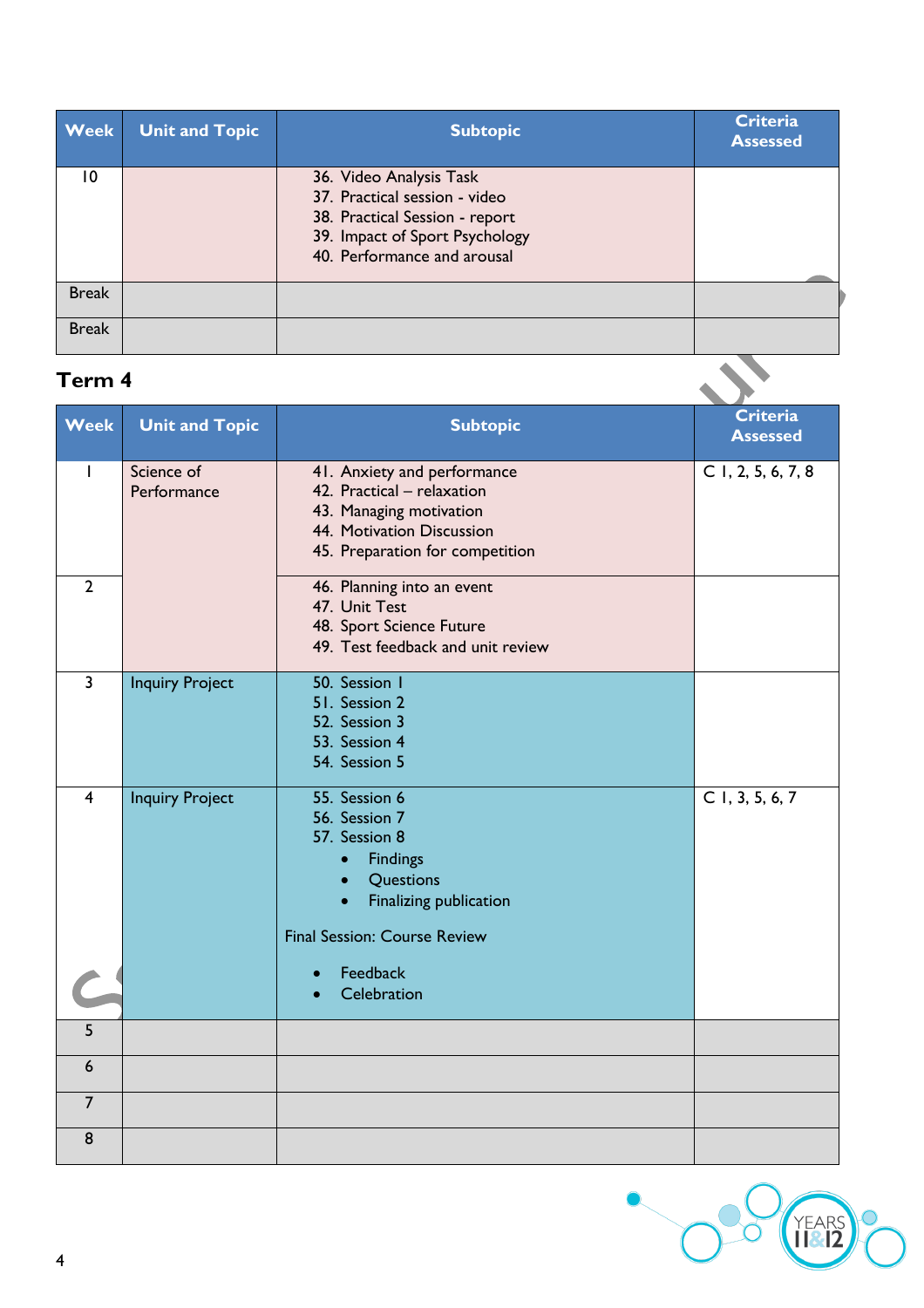| <b>Week</b>     | <b>Unit and Topic</b> | <b>Subtopic</b>                                                                                                                                             | <b>Criteria</b><br><b>Assessed</b> |
|-----------------|-----------------------|-------------------------------------------------------------------------------------------------------------------------------------------------------------|------------------------------------|
| $\overline{10}$ |                       | 36. Video Analysis Task<br>37. Practical session - video<br>38. Practical Session - report<br>39. Impact of Sport Psychology<br>40. Performance and arousal |                                    |
| <b>Break</b>    |                       |                                                                                                                                                             |                                    |
| <b>Break</b>    |                       |                                                                                                                                                             |                                    |
| Term 4          |                       |                                                                                                                                                             |                                    |

| <b>Week</b>    | <b>Unit and Topic</b>     | <b>Subtopic</b>                                                                                                                                                                  | Criteria<br><b>Assessed</b> |
|----------------|---------------------------|----------------------------------------------------------------------------------------------------------------------------------------------------------------------------------|-----------------------------|
|                | Science of<br>Performance | 41. Anxiety and performance<br>42. Practical - relaxation<br>43. Managing motivation<br>44. Motivation Discussion<br>45. Preparation for competition                             | $C$ 1, 2, 5, 6, 7, 8        |
| $\overline{2}$ |                           | 46. Planning into an event<br>47. Unit Test<br>48. Sport Science Future<br>49. Test feedback and unit review                                                                     |                             |
| $\overline{3}$ | <b>Inquiry Project</b>    | 50. Session I<br>51. Session 2<br>52. Session 3<br>53. Session 4<br>54. Session 5                                                                                                |                             |
| $\overline{4}$ | <b>Inquiry Project</b>    | 55. Session 6<br>56. Session 7<br>57. Session 8<br>Findings<br>$\bullet$<br>Questions<br>$\bullet$<br>Finalizing publication<br>$\bullet$<br><b>Final Session: Course Review</b> | $C$ 1, 3, 5, 6, 7           |
|                |                           | Feedback<br>Celebration                                                                                                                                                          |                             |
| $\overline{5}$ |                           |                                                                                                                                                                                  |                             |
| 6              |                           |                                                                                                                                                                                  |                             |
| $\overline{7}$ |                           |                                                                                                                                                                                  |                             |
| 8              |                           |                                                                                                                                                                                  |                             |